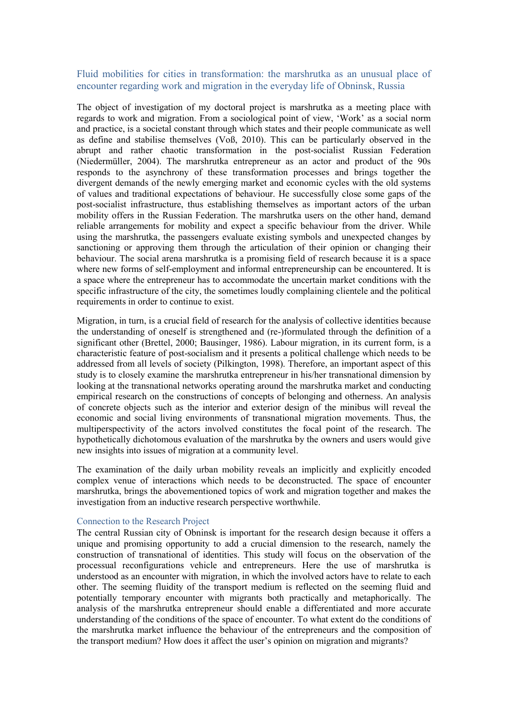## Fluid mobilities for cities in transformation: the marshrutka as an unusual place of encounter regarding work and migration in the everyday life of Obninsk, Russia

The object of investigation of my doctoral project is marshrutka as a meeting place with regards to work and migration. From a sociological point of view, 'Work' as a social norm and practice, is a societal constant through which states and their people communicate as well as define and stabilise themselves (Voß, 2010). This can be particularly observed in the abrupt and rather chaotic transformation in the post-socialist Russian Federation (Niedermüller, 2004). The marshrutka entrepreneur as an actor and product of the 90s responds to the asynchrony of these transformation processes and brings together the divergent demands of the newly emerging market and economic cycles with the old systems of values and traditional expectations of behaviour. He successfully close some gaps of the post-socialist infrastructure, thus establishing themselves as important actors of the urban mobility offers in the Russian Federation. The marshrutka users on the other hand, demand reliable arrangements for mobility and expect a specific behaviour from the driver. While using the marshrutka, the passengers evaluate existing symbols and unexpected changes by sanctioning or approving them through the articulation of their opinion or changing their behaviour. The social arena marshrutka is a promising field of research because it is a space where new forms of self-employment and informal entrepreneurship can be encountered. It is a space where the entrepreneur has to accommodate the uncertain market conditions with the specific infrastructure of the city, the sometimes loudly complaining clientele and the political requirements in order to continue to exist.

Migration, in turn, is a crucial field of research for the analysis of collective identities because the understanding of oneself is strengthened and (re-)formulated through the definition of a significant other (Brettel, 2000; Bausinger, 1986). Labour migration, in its current form, is a characteristic feature of post-socialism and it presents a political challenge which needs to be addressed from all levels of society (Pilkington, 1998). Therefore, an important aspect of this study is to closely examine the marshrutka entrepreneur in his/her transnational dimension by looking at the transnational networks operating around the marshrutka market and conducting empirical research on the constructions of concepts of belonging and otherness. An analysis of concrete objects such as the interior and exterior design of the minibus will reveal the economic and social living environments of transnational migration movements. Thus, the multiperspectivity of the actors involved constitutes the focal point of the research. The hypothetically dichotomous evaluation of the marshrutka by the owners and users would give new insights into issues of migration at a community level.

The examination of the daily urban mobility reveals an implicitly and explicitly encoded complex venue of interactions which needs to be deconstructed. The space of encounter marshrutka, brings the abovementioned topics of work and migration together and makes the investigation from an inductive research perspective worthwhile.

#### Connection to the Research Project

The central Russian city of Obninsk is important for the research design because it offers a unique and promising opportunity to add a crucial dimension to the research, namely the construction of transnational of identities. This study will focus on the observation of the processual reconfigurations vehicle and entrepreneurs. Here the use of marshrutka is understood as an encounter with migration, in which the involved actors have to relate to each other. The seeming fluidity of the transport medium is reflected on the seeming fluid and potentially temporary encounter with migrants both practically and metaphorically. The analysis of the marshrutka entrepreneur should enable a differentiated and more accurate understanding of the conditions of the space of encounter. To what extent do the conditions of the marshrutka market influence the behaviour of the entrepreneurs and the composition of the transport medium? How does it affect the user's opinion on migration and migrants?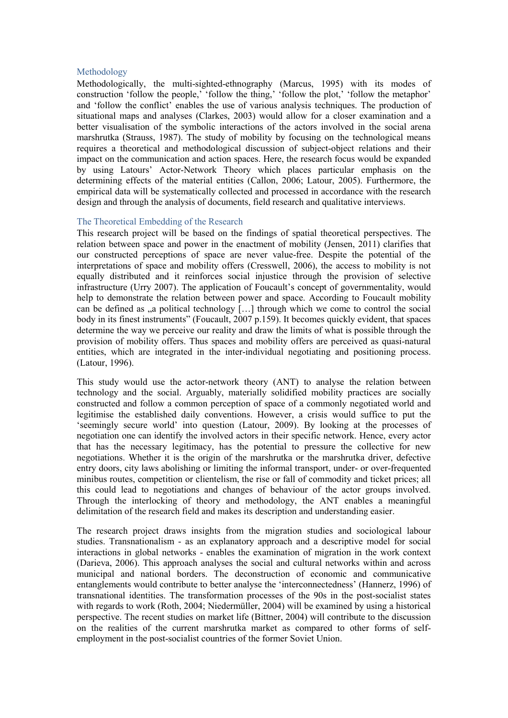#### Methodology

Methodologically, the multi-sighted-ethnography (Marcus, 1995) with its modes of construction 'follow the people,' 'follow the thing,' 'follow the plot,' 'follow the metaphor' and 'follow the conflict' enables the use of various analysis techniques. The production of situational maps and analyses (Clarkes, 2003) would allow for a closer examination and a better visualisation of the symbolic interactions of the actors involved in the social arena marshrutka (Strauss, 1987). The study of mobility by focusing on the technological means requires a theoretical and methodological discussion of subject-object relations and their impact on the communication and action spaces. Here, the research focus would be expanded by using Latours' Actor-Network Theory which places particular emphasis on the determining effects of the material entities (Callon, 2006; Latour, 2005). Furthermore, the empirical data will be systematically collected and processed in accordance with the research design and through the analysis of documents, field research and qualitative interviews.

### The Theoretical Embedding of the Research

This research project will be based on the findings of spatial theoretical perspectives. The relation between space and power in the enactment of mobility (Jensen, 2011) clarifies that our constructed perceptions of space are never value-free. Despite the potential of the interpretations of space and mobility offers (Cresswell, 2006), the access to mobility is not equally distributed and it reinforces social injustice through the provision of selective infrastructure (Urry 2007). The application of Foucault's concept of governmentality, would help to demonstrate the relation between power and space. According to Foucault mobility can be defined as  $\alpha$  political technology  $[\dots]$  through which we come to control the social body in its finest instruments" (Foucault, 2007 p.159). It becomes quickly evident, that spaces determine the way we perceive our reality and draw the limits of what is possible through the provision of mobility offers. Thus spaces and mobility offers are perceived as quasi-natural entities, which are integrated in the inter-individual negotiating and positioning process. (Latour, 1996).

This study would use the actor-network theory (ANT) to analyse the relation between technology and the social. Arguably, materially solidified mobility practices are socially constructed and follow a common perception of space of a commonly negotiated world and legitimise the established daily conventions. However, a crisis would suffice to put the 'seemingly secure world' into question (Latour, 2009). By looking at the processes of negotiation one can identify the involved actors in their specific network. Hence, every actor that has the necessary legitimacy, has the potential to pressure the collective for new negotiations. Whether it is the origin of the marshrutka or the marshrutka driver, defective entry doors, city laws abolishing or limiting the informal transport, under- or over-frequented minibus routes, competition or clientelism, the rise or fall of commodity and ticket prices; all this could lead to negotiations and changes of behaviour of the actor groups involved. Through the interlocking of theory and methodology, the ANT enables a meaningful delimitation of the research field and makes its description and understanding easier.

The research project draws insights from the migration studies and sociological labour studies. Transnationalism - as an explanatory approach and a descriptive model for social interactions in global networks - enables the examination of migration in the work context (Darieva, 2006). This approach analyses the social and cultural networks within and across municipal and national borders. The deconstruction of economic and communicative entanglements would contribute to better analyse the 'interconnectedness' (Hannerz, 1996) of transnational identities. The transformation processes of the 90s in the post-socialist states with regards to work (Roth, 2004; Niedermüller, 2004) will be examined by using a historical perspective. The recent studies on market life (Bittner, 2004) will contribute to the discussion on the realities of the current marshrutka market as compared to other forms of selfemployment in the post-socialist countries of the former Soviet Union.